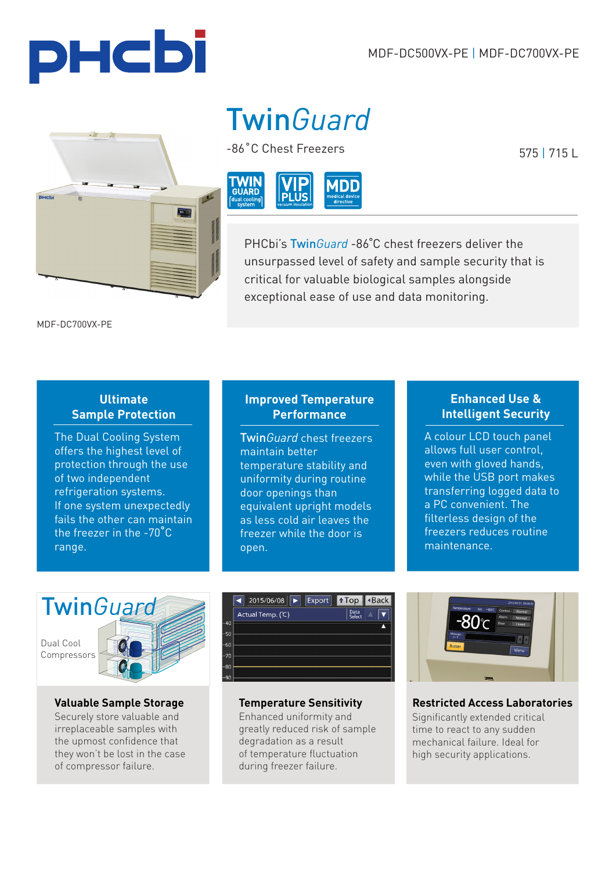PHCbi

PHCbi

# Twin*Guard*

-86˚C Chest Freezers



PHCbi's Twin*Guard* -86˚C chest freezers deliver the unsurpassed level of safety and sample security that is critical for valuable biological samples alongside exceptional ease of use and data monitoring.

MDF-DC700VX-PE

#### **Ultimate Sample Protection**

The Dual Cooling System offers the highest level of protection through the use of two independent refrigeration systems. If one system unexpectedly fails the other can maintain the freezer in the -70˚C range.

## **Improved Temperature Performance**

Twin*Guard* chest freezers maintain better temperature stability and uniformity during routine door openings than equivalent upright models as less cold air leaves the freezer while the door is open.

## **Enhanced Use & Intelligent Security**

A colour LCD touch panel allows full user control, even with gloved hands, while the USB port makes transferring logged data to a PC convenient. The filterless design of the freezers reduces routine maintenance.



Securely store valuable and irreplaceable samples with the upmost confidence that they won't be lost in the case of compressor failure.



**Valuable Sample Storage Temperature Sensitivity**

Enhanced uniformity and greatly reduced risk of sample degradation as a result of temperature fluctuation during freezer failure.



**Restricted Access Laboratories** Significantly extended critical time to react to any sudden mechanical failure. Ideal for high security applications.

575 | 715 L